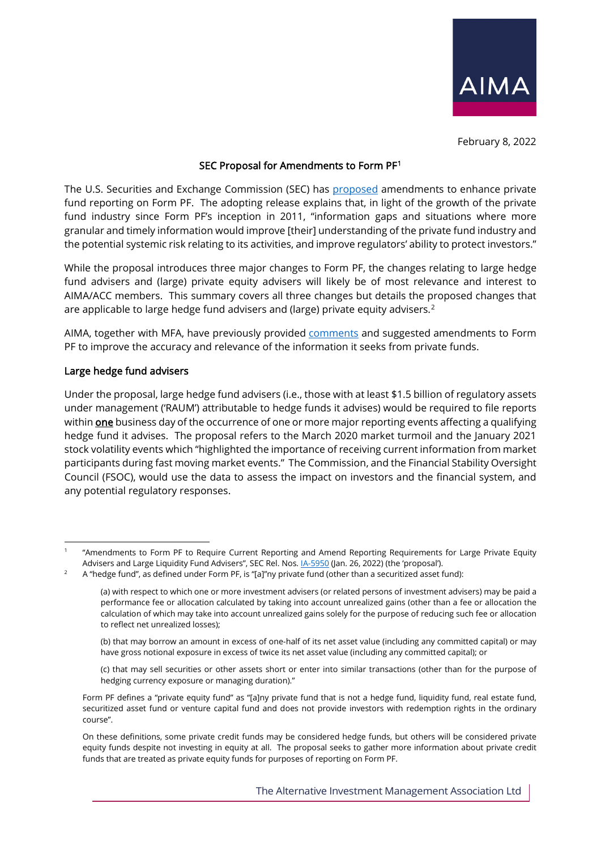

February 8, 2022

# SEC Proposal for Amendments to Form PF[1](#page-0-0)

The U.S. Securities and Exchange Commission (SEC) has [proposed](https://www.sec.gov/rules/proposed/2022/ia-5950.pdf) amendments to enhance private fund reporting on Form PF. The adopting release explains that, in light of the growth of the private fund industry since Form PF's inception in 2011, "information gaps and situations where more granular and timely information would improve [their] understanding of the private fund industry and the potential systemic risk relating to its activities, and improve regulators' ability to protect investors."

While the proposal introduces three major changes to Form PF, the changes relating to large hedge fund advisers and (large) private equity advisers will likely be of most relevance and interest to AIMA/ACC members. This summary covers all three changes but details the proposed changes that are applicable to large hedge fund advisers and (large) private equity advisers.<sup>[2](#page-0-1)</sup>

AIMA, together with MFA, have previously provided [comments](https://www.aima.org/asset/8F7AA49C-7139-4C28-8FFD237F0D8E6DE3/) and suggested amendments to Form PF to improve the accuracy and relevance of the information it seeks from private funds.

### Large hedge fund advisers

Under the proposal, large hedge fund advisers (i.e., those with at least \$1.5 billion of regulatory assets under management ('RAUM') attributable to hedge funds it advises) would be required to file reports within **one** business day of the occurrence of one or more major reporting events affecting a qualifying hedge fund it advises. The proposal refers to the March 2020 market turmoil and the January 2021 stock volatility events which "highlighted the importance of receiving current information from market participants during fast moving market events." The Commission, and the Financial Stability Oversight Council (FSOC), would use the data to assess the impact on investors and the financial system, and any potential regulatory responses.

<span id="page-0-0"></span><sup>1</sup> "Amendments to Form PF to Require Current Reporting and Amend Reporting Requirements for Large Private Equity Advisers and Large Liquidity Fund Advisers", SEC Rel. Nos. <u>IA-5950</u> (Jan. 26, 2022) (the 'proposal').<br>A "hedge fund", as defined under Form PF, is "[a]"ny private fund (other than a securitized asset fund):

<span id="page-0-1"></span>

<sup>(</sup>a) with respect to which one or more investment advisers (or related persons of investment advisers) may be paid a performance fee or allocation calculated by taking into account unrealized gains (other than a fee or allocation the calculation of which may take into account unrealized gains solely for the purpose of reducing such fee or allocation to reflect net unrealized losses);

<sup>(</sup>b) that may borrow an amount in excess of one-half of its net asset value (including any committed capital) or may have gross notional exposure in excess of twice its net asset value (including any committed capital); or

<sup>(</sup>c) that may sell securities or other assets short or enter into similar transactions (other than for the purpose of hedging currency exposure or managing duration)."

Form PF defines a "private equity fund" as "[a]ny private fund that is not a hedge fund, liquidity fund, real estate fund, securitized asset fund or venture capital fund and does not provide investors with redemption rights in the ordinary course".

On these definitions, some private credit funds may be considered hedge funds, but others will be considered private equity funds despite not investing in equity at all. The proposal seeks to gather more information about private credit funds that are treated as private equity funds for purposes of reporting on Form PF.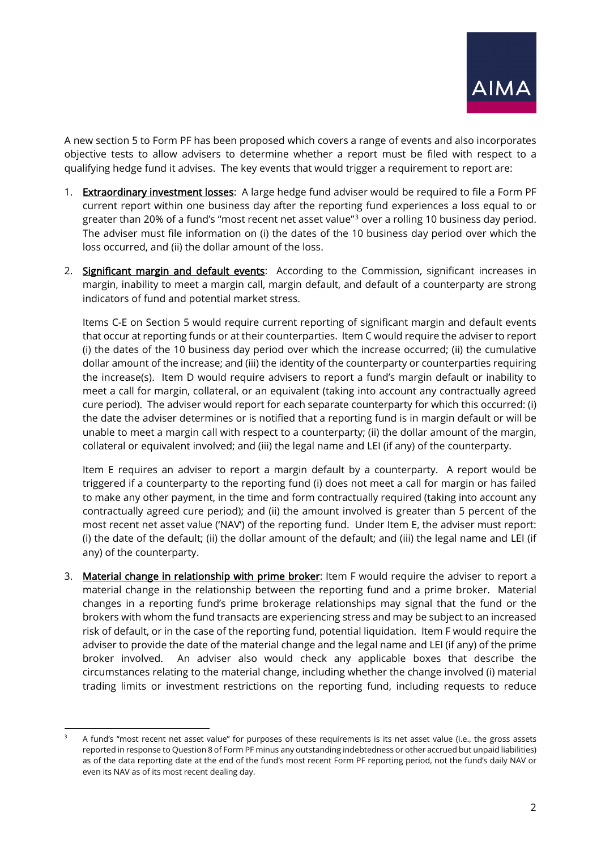A new section 5 to Form PF has been proposed which covers a range of events and also incorporates objective tests to allow advisers to determine whether a report must be filed with respect to a qualifying hedge fund it advises. The key events that would trigger a requirement to report are:

- 1. Extraordinary investment losses: A large hedge fund adviser would be required to file a Form PF current report within one business day after the reporting fund experiences a loss equal to or greater than 20% of a fund's "most recent net asset value"[3](#page-1-0) over a rolling 10 business day period. The adviser must file information on (i) the dates of the 10 business day period over which the loss occurred, and (ii) the dollar amount of the loss.
- 2. Significant margin and default events: According to the Commission, significant increases in margin, inability to meet a margin call, margin default, and default of a counterparty are strong indicators of fund and potential market stress.

Items C-E on Section 5 would require current reporting of significant margin and default events that occur at reporting funds or at their counterparties. Item C would require the adviser to report (i) the dates of the 10 business day period over which the increase occurred; (ii) the cumulative dollar amount of the increase; and (iii) the identity of the counterparty or counterparties requiring the increase(s). Item D would require advisers to report a fund's margin default or inability to meet a call for margin, collateral, or an equivalent (taking into account any contractually agreed cure period). The adviser would report for each separate counterparty for which this occurred: (i) the date the adviser determines or is notified that a reporting fund is in margin default or will be unable to meet a margin call with respect to a counterparty; (ii) the dollar amount of the margin, collateral or equivalent involved; and (iii) the legal name and LEI (if any) of the counterparty.

Item E requires an adviser to report a margin default by a counterparty. A report would be triggered if a counterparty to the reporting fund (i) does not meet a call for margin or has failed to make any other payment, in the time and form contractually required (taking into account any contractually agreed cure period); and (ii) the amount involved is greater than 5 percent of the most recent net asset value ('NAV') of the reporting fund. Under Item E, the adviser must report: (i) the date of the default; (ii) the dollar amount of the default; and (iii) the legal name and LEI (if any) of the counterparty.

3. Material change in relationship with prime broker: Item F would require the adviser to report a material change in the relationship between the reporting fund and a prime broker. Material changes in a reporting fund's prime brokerage relationships may signal that the fund or the brokers with whom the fund transacts are experiencing stress and may be subject to an increased risk of default, or in the case of the reporting fund, potential liquidation. Item F would require the adviser to provide the date of the material change and the legal name and LEI (if any) of the prime broker involved. An adviser also would check any applicable boxes that describe the circumstances relating to the material change, including whether the change involved (i) material trading limits or investment restrictions on the reporting fund, including requests to reduce

<span id="page-1-0"></span><sup>3</sup> A fund's "most recent net asset value" for purposes of these requirements is its net asset value (i.e., the gross assets reported in response to Question 8 of Form PF minus any outstanding indebtedness or other accrued but unpaid liabilities) as of the data reporting date at the end of the fund's most recent Form PF reporting period, not the fund's daily NAV or even its NAV as of its most recent dealing day.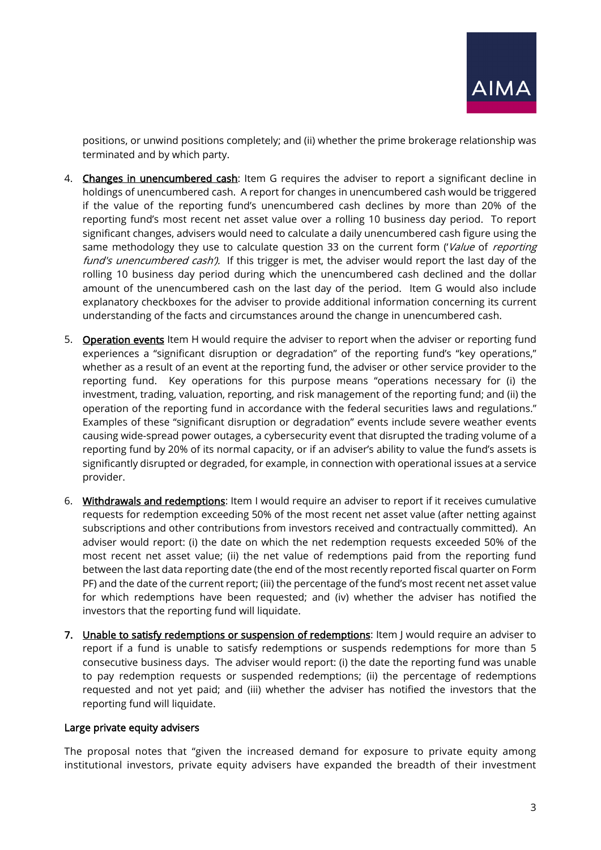positions, or unwind positions completely; and (ii) whether the prime brokerage relationship was terminated and by which party.

- 4. Changes in unencumbered cash: Item G requires the adviser to report a significant decline in holdings of unencumbered cash. A report for changes in unencumbered cash would be triggered if the value of the reporting fund's unencumbered cash declines by more than 20% of the reporting fund's most recent net asset value over a rolling 10 business day period. To report significant changes, advisers would need to calculate a daily unencumbered cash figure using the same methodology they use to calculate question 33 on the current form ('Value of reporting fund's unencumbered cash'). If this trigger is met, the adviser would report the last day of the rolling 10 business day period during which the unencumbered cash declined and the dollar amount of the unencumbered cash on the last day of the period. Item G would also include explanatory checkboxes for the adviser to provide additional information concerning its current understanding of the facts and circumstances around the change in unencumbered cash.
- 5. **Operation events** Item H would require the adviser to report when the adviser or reporting fund experiences a "significant disruption or degradation" of the reporting fund's "key operations," whether as a result of an event at the reporting fund, the adviser or other service provider to the reporting fund. Key operations for this purpose means "operations necessary for (i) the investment, trading, valuation, reporting, and risk management of the reporting fund; and (ii) the operation of the reporting fund in accordance with the federal securities laws and regulations." Examples of these "significant disruption or degradation" events include severe weather events causing wide-spread power outages, a cybersecurity event that disrupted the trading volume of a reporting fund by 20% of its normal capacity, or if an adviser's ability to value the fund's assets is significantly disrupted or degraded, for example, in connection with operational issues at a service provider.
- 6. Withdrawals and redemptions: Item I would require an adviser to report if it receives cumulative requests for redemption exceeding 50% of the most recent net asset value (after netting against subscriptions and other contributions from investors received and contractually committed). An adviser would report: (i) the date on which the net redemption requests exceeded 50% of the most recent net asset value; (ii) the net value of redemptions paid from the reporting fund between the last data reporting date (the end of the most recently reported fiscal quarter on Form PF) and the date of the current report; (iii) the percentage of the fund's most recent net asset value for which redemptions have been requested; and (iv) whether the adviser has notified the investors that the reporting fund will liquidate.
- 7. Unable to satisfy redemptions or suspension of redemptions: Item J would require an adviser to report if a fund is unable to satisfy redemptions or suspends redemptions for more than 5 consecutive business days. The adviser would report: (i) the date the reporting fund was unable to pay redemption requests or suspended redemptions; (ii) the percentage of redemptions requested and not yet paid; and (iii) whether the adviser has notified the investors that the reporting fund will liquidate.

### Large private equity advisers

The proposal notes that "given the increased demand for exposure to private equity among institutional investors, private equity advisers have expanded the breadth of their investment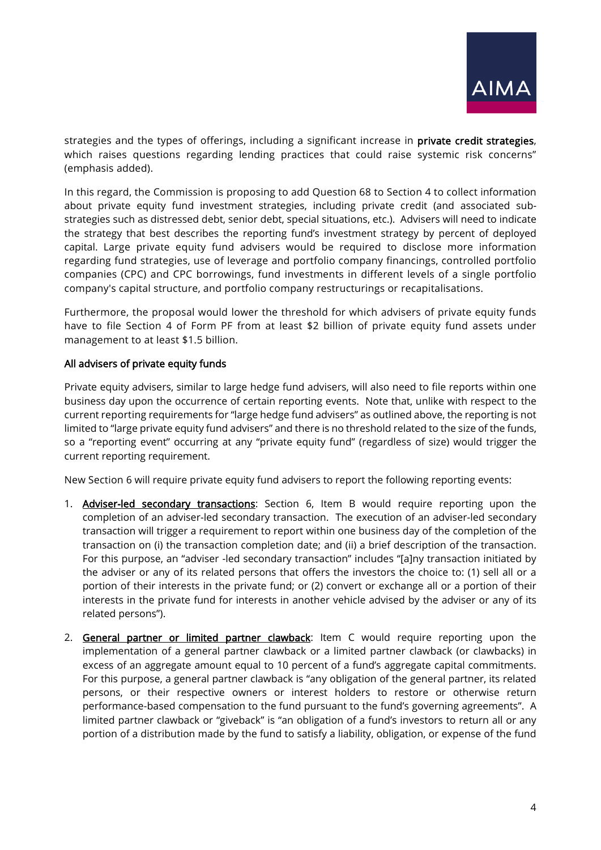strategies and the types of offerings, including a significant increase in **private credit strategies**, which raises questions regarding lending practices that could raise systemic risk concerns" (emphasis added).

In this regard, the Commission is proposing to add Question 68 to Section 4 to collect information about private equity fund investment strategies, including private credit (and associated substrategies such as distressed debt, senior debt, special situations, etc.). Advisers will need to indicate the strategy that best describes the reporting fund's investment strategy by percent of deployed capital. Large private equity fund advisers would be required to disclose more information regarding fund strategies, use of leverage and portfolio company financings, controlled portfolio companies (CPC) and CPC borrowings, fund investments in different levels of a single portfolio company's capital structure, and portfolio company restructurings or recapitalisations.

Furthermore, the proposal would lower the threshold for which advisers of private equity funds have to file Section 4 of Form PF from at least \$2 billion of private equity fund assets under management to at least \$1.5 billion.

# All advisers of private equity funds

Private equity advisers, similar to large hedge fund advisers, will also need to file reports within one business day upon the occurrence of certain reporting events. Note that, unlike with respect to the current reporting requirements for "large hedge fund advisers" as outlined above, the reporting is not limited to "large private equity fund advisers" and there is no threshold related to the size of the funds, so a "reporting event" occurring at any "private equity fund" (regardless of size) would trigger the current reporting requirement.

New Section 6 will require private equity fund advisers to report the following reporting events:

- 1. **Adviser-led secondary transactions**: Section 6, Item B would require reporting upon the completion of an adviser-led secondary transaction. The execution of an adviser-led secondary transaction will trigger a requirement to report within one business day of the completion of the transaction on (i) the transaction completion date; and (ii) a brief description of the transaction. For this purpose, an "adviser -led secondary transaction" includes "[a]ny transaction initiated by the adviser or any of its related persons that offers the investors the choice to: (1) sell all or a portion of their interests in the private fund; or (2) convert or exchange all or a portion of their interests in the private fund for interests in another vehicle advised by the adviser or any of its related persons").
- 2. General partner or limited partner clawback: Item C would require reporting upon the implementation of a general partner clawback or a limited partner clawback (or clawbacks) in excess of an aggregate amount equal to 10 percent of a fund's aggregate capital commitments. For this purpose, a general partner clawback is "any obligation of the general partner, its related persons, or their respective owners or interest holders to restore or otherwise return performance-based compensation to the fund pursuant to the fund's governing agreements". A limited partner clawback or "giveback" is "an obligation of a fund's investors to return all or any portion of a distribution made by the fund to satisfy a liability, obligation, or expense of the fund